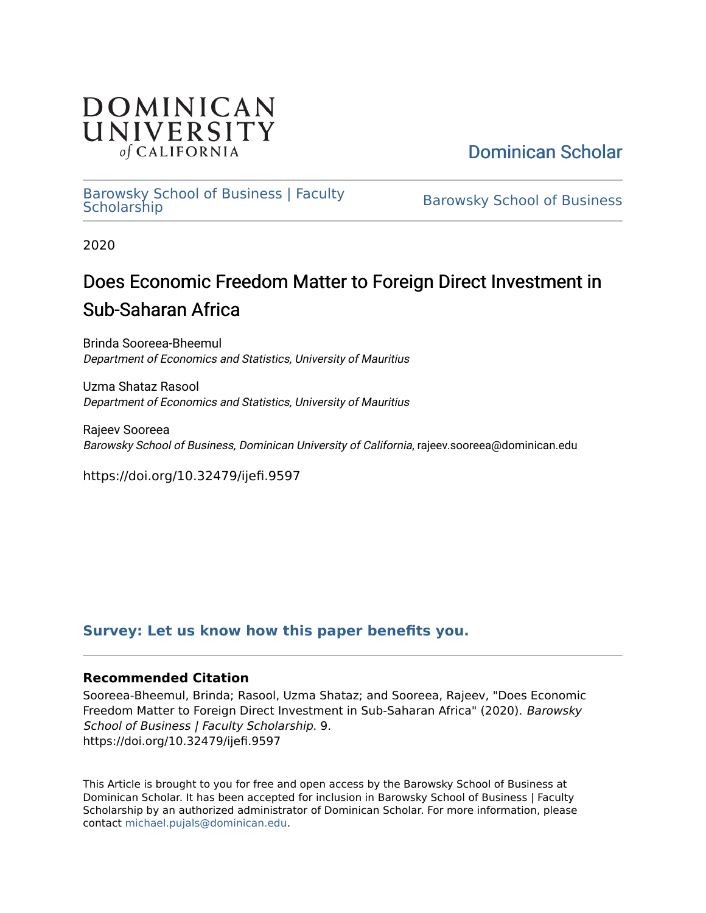

[Dominican Scholar](https://scholar.dominican.edu/) 

# [Barowsky School of Business | Faculty](https://scholar.dominican.edu/barowsky-school-of-business-faculty-scholarship) [Barowsky School of Business](https://scholar.dominican.edu/barowsky-school-of-business) | Faculty Barowsky School of Business<br>Scholarship

2020

# Does Economic Freedom Matter to Foreign Direct Investment in Sub-Saharan Africa

Brinda Sooreea-Bheemul Department of Economics and Statistics, University of Mauritius

Uzma Shataz Rasool Department of Economics and Statistics, University of Mauritius

Rajeev Sooreea Barowsky School of Business, Dominican University of California, rajeev.sooreea@dominican.edu

https://doi.org/10.32479/ijefi.9597

# **[Survey: Let us know how this paper benefits you.](https://dominican.libwizard.com/dominican-scholar-feedback)**

# **Recommended Citation**

Sooreea-Bheemul, Brinda; Rasool, Uzma Shataz; and Sooreea, Rajeev, "Does Economic Freedom Matter to Foreign Direct Investment in Sub-Saharan Africa" (2020). Barowsky School of Business | Faculty Scholarship. 9. https://doi.org/10.32479/ijefi.9597

This Article is brought to you for free and open access by the Barowsky School of Business at Dominican Scholar. It has been accepted for inclusion in Barowsky School of Business | Faculty Scholarship by an authorized administrator of Dominican Scholar. For more information, please contact [michael.pujals@dominican.edu](mailto:michael.pujals@dominican.edu).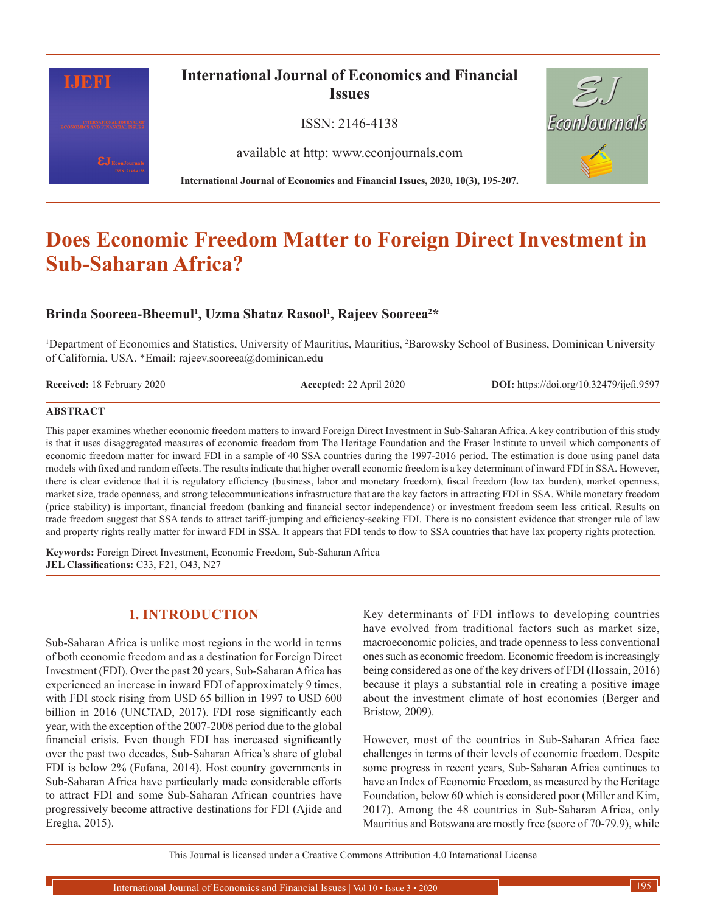

# **Does Economic Freedom Matter to Foreign Direct Investment in Sub-Saharan Africa?**

# **Brinda Sooreea-Bheemul1 , Uzma Shataz Rasool1 , Rajeev Sooreea2 \***

<sup>1</sup>Department of Economics and Statistics, University of Mauritius, Mauritius, <sup>2</sup>Barowsky School of Business, Dominican University of California, USA. \*Email: rajeev.sooreea@dominican.edu

**Received:** 18 February 2020 **Accepted:** 22 April 2020 **DOI:** https://doi.org/10.32479/ijefi.9597

#### **ABSTRACT**

This paper examines whether economic freedom matters to inward Foreign Direct Investment in Sub-Saharan Africa. A key contribution of this study is that it uses disaggregated measures of economic freedom from The Heritage Foundation and the Fraser Institute to unveil which components of economic freedom matter for inward FDI in a sample of 40 SSA countries during the 1997-2016 period. The estimation is done using panel data models with fixed and random effects. The results indicate that higher overall economic freedom is a key determinant of inward FDI in SSA. However, there is clear evidence that it is regulatory efficiency (business, labor and monetary freedom), fiscal freedom (low tax burden), market openness, market size, trade openness, and strong telecommunications infrastructure that are the key factors in attracting FDI in SSA. While monetary freedom (price stability) is important, financial freedom (banking and financial sector independence) or investment freedom seem less critical. Results on trade freedom suggest that SSA tends to attract tariff-jumping and efficiency-seeking FDI. There is no consistent evidence that stronger rule of law and property rights really matter for inward FDI in SSA. It appears that FDI tends to flow to SSA countries that have lax property rights protection.

**Keywords:** Foreign Direct Investment, Economic Freedom, Sub-Saharan Africa **JEL Classifications:** C33, F21, O43, N27

# **1. INTRODUCTION**

Sub-Saharan Africa is unlike most regions in the world in terms of both economic freedom and as a destination for Foreign Direct Investment (FDI). Over the past 20 years, Sub-Saharan Africa has experienced an increase in inward FDI of approximately 9 times, with FDI stock rising from USD 65 billion in 1997 to USD 600 billion in 2016 (UNCTAD, 2017). FDI rose significantly each year, with the exception of the 2007-2008 period due to the global financial crisis. Even though FDI has increased significantly over the past two decades, Sub-Saharan Africa's share of global FDI is below 2% (Fofana, 2014). Host country governments in Sub-Saharan Africa have particularly made considerable efforts to attract FDI and some Sub-Saharan African countries have progressively become attractive destinations for FDI (Ajide and Eregha, 2015).

Key determinants of FDI inflows to developing countries have evolved from traditional factors such as market size, macroeconomic policies, and trade openness to less conventional ones such as economic freedom. Economic freedom is increasingly being considered as one of the key drivers of FDI (Hossain, 2016) because it plays a substantial role in creating a positive image about the investment climate of host economies (Berger and Bristow, 2009).

However, most of the countries in Sub-Saharan Africa face challenges in terms of their levels of economic freedom. Despite some progress in recent years, Sub-Saharan Africa continues to have an Index of Economic Freedom, as measured by the Heritage Foundation, below 60 which is considered poor (Miller and Kim, 2017). Among the 48 countries in Sub-Saharan Africa, only Mauritius and Botswana are mostly free (score of 70-79.9), while

This Journal is licensed under a Creative Commons Attribution 4.0 International License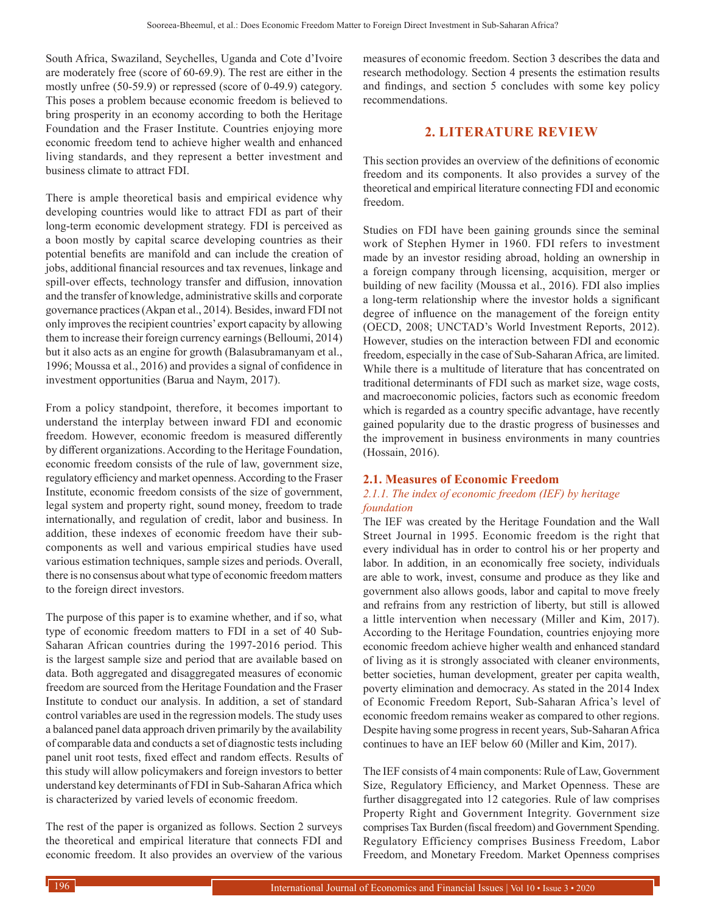South Africa, Swaziland, Seychelles, Uganda and Cote d'Ivoire are moderately free (score of 60-69.9). The rest are either in the mostly unfree (50-59.9) or repressed (score of 0-49.9) category. This poses a problem because economic freedom is believed to bring prosperity in an economy according to both the Heritage Foundation and the Fraser Institute. Countries enjoying more economic freedom tend to achieve higher wealth and enhanced living standards, and they represent a better investment and business climate to attract FDI.

There is ample theoretical basis and empirical evidence why developing countries would like to attract FDI as part of their long-term economic development strategy. FDI is perceived as a boon mostly by capital scarce developing countries as their potential benefits are manifold and can include the creation of jobs, additional financial resources and tax revenues, linkage and spill-over effects, technology transfer and diffusion, innovation and the transfer of knowledge, administrative skills and corporate governance practices (Akpan et al., 2014). Besides, inward FDI not only improves the recipient countries' export capacity by allowing them to increase their foreign currency earnings (Belloumi, 2014) but it also acts as an engine for growth (Balasubramanyam et al., 1996; Moussa et al., 2016) and provides a signal of confidence in investment opportunities (Barua and Naym, 2017).

From a policy standpoint, therefore, it becomes important to understand the interplay between inward FDI and economic freedom. However, economic freedom is measured differently by different organizations. According to the Heritage Foundation, economic freedom consists of the rule of law, government size, regulatory efficiency and market openness. According to the Fraser Institute, economic freedom consists of the size of government, legal system and property right, sound money, freedom to trade internationally, and regulation of credit, labor and business. In addition, these indexes of economic freedom have their subcomponents as well and various empirical studies have used various estimation techniques, sample sizes and periods. Overall, there is no consensus about what type of economic freedom matters to the foreign direct investors.

The purpose of this paper is to examine whether, and if so, what type of economic freedom matters to FDI in a set of 40 Sub-Saharan African countries during the 1997-2016 period. This is the largest sample size and period that are available based on data. Both aggregated and disaggregated measures of economic freedom are sourced from the Heritage Foundation and the Fraser Institute to conduct our analysis. In addition, a set of standard control variables are used in the regression models. The study uses a balanced panel data approach driven primarily by the availability of comparable data and conducts a set of diagnostic tests including panel unit root tests, fixed effect and random effects. Results of this study will allow policymakers and foreign investors to better understand key determinants of FDI in Sub-Saharan Africa which is characterized by varied levels of economic freedom.

The rest of the paper is organized as follows. Section 2 surveys the theoretical and empirical literature that connects FDI and economic freedom. It also provides an overview of the various measures of economic freedom. Section 3 describes the data and research methodology. Section 4 presents the estimation results and findings, and section 5 concludes with some key policy recommendations.

# **2. LITERATURE REVIEW**

This section provides an overview of the definitions of economic freedom and its components. It also provides a survey of the theoretical and empirical literature connecting FDI and economic freedom.

Studies on FDI have been gaining grounds since the seminal work of Stephen Hymer in 1960. FDI refers to investment made by an investor residing abroad, holding an ownership in a foreign company through licensing, acquisition, merger or building of new facility (Moussa et al., 2016). FDI also implies a long-term relationship where the investor holds a significant degree of influence on the management of the foreign entity (OECD, 2008; UNCTAD's World Investment Reports, 2012). However, studies on the interaction between FDI and economic freedom, especially in the case of Sub-Saharan Africa, are limited. While there is a multitude of literature that has concentrated on traditional determinants of FDI such as market size, wage costs, and macroeconomic policies, factors such as economic freedom which is regarded as a country specific advantage, have recently gained popularity due to the drastic progress of businesses and the improvement in business environments in many countries (Hossain, 2016).

## **2.1. Measures of Economic Freedom**

## *2.1.1. The index of economic freedom (IEF) by heritage foundation*

The IEF was created by the Heritage Foundation and the Wall Street Journal in 1995. Economic freedom is the right that every individual has in order to control his or her property and labor. In addition, in an economically free society, individuals are able to work, invest, consume and produce as they like and government also allows goods, labor and capital to move freely and refrains from any restriction of liberty, but still is allowed a little intervention when necessary (Miller and Kim, 2017). According to the Heritage Foundation, countries enjoying more economic freedom achieve higher wealth and enhanced standard of living as it is strongly associated with cleaner environments, better societies, human development, greater per capita wealth, poverty elimination and democracy. As stated in the 2014 Index of Economic Freedom Report, Sub-Saharan Africa's level of economic freedom remains weaker as compared to other regions. Despite having some progress in recent years, Sub-Saharan Africa continues to have an IEF below 60 (Miller and Kim, 2017).

The IEF consists of 4 main components: Rule of Law, Government Size, Regulatory Efficiency, and Market Openness. These are further disaggregated into 12 categories. Rule of law comprises Property Right and Government Integrity. Government size comprises Tax Burden (fiscal freedom) and Government Spending. Regulatory Efficiency comprises Business Freedom, Labor Freedom, and Monetary Freedom. Market Openness comprises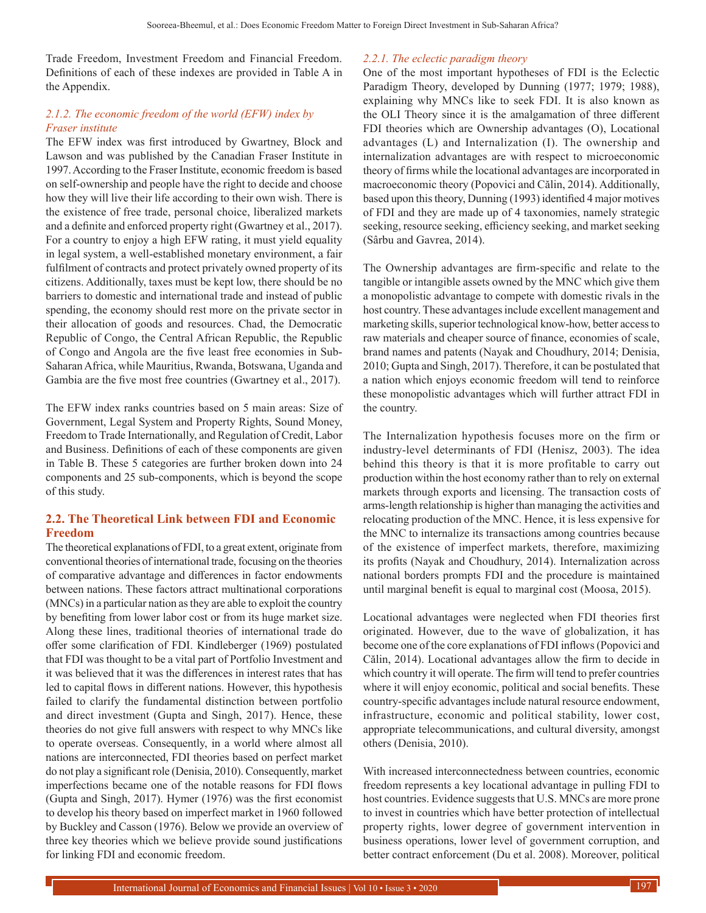Trade Freedom, Investment Freedom and Financial Freedom. Definitions of each of these indexes are provided in Table A in the Appendix.

## *2.1.2. The economic freedom of the world (EFW) index by Fraser institute*

The EFW index was first introduced by Gwartney, Block and Lawson and was published by the Canadian Fraser Institute in 1997. According to the Fraser Institute, economic freedom is based on self-ownership and people have the right to decide and choose how they will live their life according to their own wish. There is the existence of free trade, personal choice, liberalized markets and a definite and enforced property right (Gwartney et al., 2017). For a country to enjoy a high EFW rating, it must yield equality in legal system, a well-established monetary environment, a fair fulfilment of contracts and protect privately owned property of its citizens. Additionally, taxes must be kept low, there should be no barriers to domestic and international trade and instead of public spending, the economy should rest more on the private sector in their allocation of goods and resources. Chad, the Democratic Republic of Congo, the Central African Republic, the Republic of Congo and Angola are the five least free economies in Sub-Saharan Africa, while Mauritius, Rwanda, Botswana, Uganda and Gambia are the five most free countries (Gwartney et al., 2017).

The EFW index ranks countries based on 5 main areas: Size of Government, Legal System and Property Rights, Sound Money, Freedom to Trade Internationally, and Regulation of Credit, Labor and Business. Definitions of each of these components are given in Table B. These 5 categories are further broken down into 24 components and 25 sub-components, which is beyond the scope of this study.

# **2.2. The Theoretical Link between FDI and Economic Freedom**

The theoretical explanations of FDI, to a great extent, originate from conventional theories of international trade, focusing on the theories of comparative advantage and differences in factor endowments between nations. These factors attract multinational corporations (MNCs) in a particular nation as they are able to exploit the country by benefiting from lower labor cost or from its huge market size. Along these lines, traditional theories of international trade do offer some clarification of FDI. Kindleberger (1969) postulated that FDI was thought to be a vital part of Portfolio Investment and it was believed that it was the differences in interest rates that has led to capital flows in different nations. However, this hypothesis failed to clarify the fundamental distinction between portfolio and direct investment (Gupta and Singh, 2017). Hence, these theories do not give full answers with respect to why MNCs like to operate overseas. Consequently, in a world where almost all nations are interconnected, FDI theories based on perfect market do not play a significant role (Denisia, 2010). Consequently, market imperfections became one of the notable reasons for FDI flows (Gupta and Singh, 2017). Hymer (1976) was the first economist to develop his theory based on imperfect market in 1960 followed by Buckley and Casson (1976). Below we provide an overview of three key theories which we believe provide sound justifications for linking FDI and economic freedom.

# *2.2.1. The eclectic paradigm theory*

One of the most important hypotheses of FDI is the Eclectic Paradigm Theory, developed by Dunning (1977; 1979; 1988), explaining why MNCs like to seek FDI. It is also known as the OLI Theory since it is the amalgamation of three different FDI theories which are Ownership advantages (O), Locational advantages (L) and Internalization (I). The ownership and internalization advantages are with respect to microeconomic theory of firms while the locational advantages are incorporated in macroeconomic theory (Popovici and Călin, 2014). Additionally, based upon this theory, Dunning (1993) identified 4 major motives of FDI and they are made up of 4 taxonomies, namely strategic seeking, resource seeking, efficiency seeking, and market seeking (Sârbu and Gavrea, 2014).

The Ownership advantages are firm-specific and relate to the tangible or intangible assets owned by the MNC which give them a monopolistic advantage to compete with domestic rivals in the host country. These advantages include excellent management and marketing skills, superior technological know-how, better access to raw materials and cheaper source of finance, economies of scale, brand names and patents (Nayak and Choudhury, 2014; Denisia, 2010; Gupta and Singh, 2017). Therefore, it can be postulated that a nation which enjoys economic freedom will tend to reinforce these monopolistic advantages which will further attract FDI in the country.

The Internalization hypothesis focuses more on the firm or industry-level determinants of FDI (Henisz, 2003). The idea behind this theory is that it is more profitable to carry out production within the host economy rather than to rely on external markets through exports and licensing. The transaction costs of arms-length relationship is higher than managing the activities and relocating production of the MNC. Hence, it is less expensive for the MNC to internalize its transactions among countries because of the existence of imperfect markets, therefore, maximizing its profits (Nayak and Choudhury, 2014). Internalization across national borders prompts FDI and the procedure is maintained until marginal benefit is equal to marginal cost (Moosa, 2015).

Locational advantages were neglected when FDI theories first originated. However, due to the wave of globalization, it has become one of the core explanations of FDI inflows (Popovici and Călin, 2014). Locational advantages allow the firm to decide in which country it will operate. The firm will tend to prefer countries where it will enjoy economic, political and social benefits. These country-specific advantages include natural resource endowment, infrastructure, economic and political stability, lower cost, appropriate telecommunications, and cultural diversity, amongst others (Denisia, 2010).

With increased interconnectedness between countries, economic freedom represents a key locational advantage in pulling FDI to host countries. Evidence suggests that U.S. MNCs are more prone to invest in countries which have better protection of intellectual property rights, lower degree of government intervention in business operations, lower level of government corruption, and better contract enforcement (Du et al. 2008). Moreover, political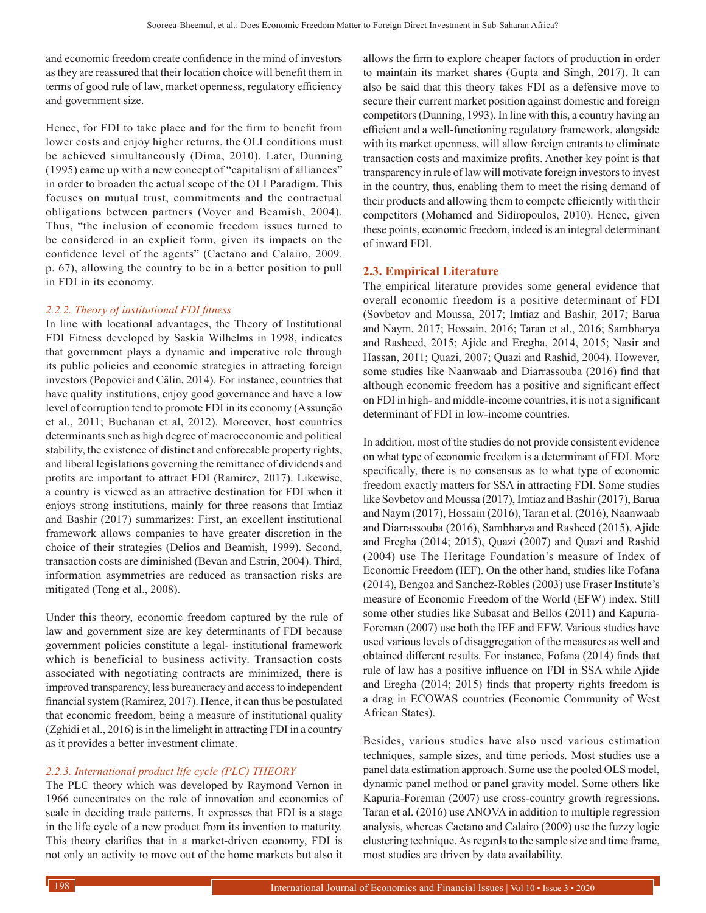and economic freedom create confidence in the mind of investors as they are reassured that their location choice will benefit them in terms of good rule of law, market openness, regulatory efficiency and government size.

Hence, for FDI to take place and for the firm to benefit from lower costs and enjoy higher returns, the OLI conditions must be achieved simultaneously (Dima, 2010). Later, Dunning (1995) came up with a new concept of "capitalism of alliances" in order to broaden the actual scope of the OLI Paradigm. This focuses on mutual trust, commitments and the contractual obligations between partners (Voyer and Beamish, 2004). Thus, "the inclusion of economic freedom issues turned to be considered in an explicit form, given its impacts on the confidence level of the agents" (Caetano and Calairo, 2009. p. 67), allowing the country to be in a better position to pull in FDI in its economy.

## *2.2.2. Theory of institutional FDI fitness*

In line with locational advantages, the Theory of Institutional FDI Fitness developed by Saskia Wilhelms in 1998, indicates that government plays a dynamic and imperative role through its public policies and economic strategies in attracting foreign investors (Popovici and Călin, 2014). For instance, countries that have quality institutions, enjoy good governance and have a low level of corruption tend to promote FDI in its economy (Assunção et al., 2011; Buchanan et al, 2012). Moreover, host countries determinants such as high degree of macroeconomic and political stability, the existence of distinct and enforceable property rights, and liberal legislations governing the remittance of dividends and profits are important to attract FDI (Ramirez, 2017). Likewise, a country is viewed as an attractive destination for FDI when it enjoys strong institutions, mainly for three reasons that Imtiaz and Bashir (2017) summarizes: First, an excellent institutional framework allows companies to have greater discretion in the choice of their strategies (Delios and Beamish, 1999). Second, transaction costs are diminished (Bevan and Estrin, 2004). Third, information asymmetries are reduced as transaction risks are mitigated (Tong et al., 2008).

Under this theory, economic freedom captured by the rule of law and government size are key determinants of FDI because government policies constitute a legal- institutional framework which is beneficial to business activity. Transaction costs associated with negotiating contracts are minimized, there is improved transparency, less bureaucracy and access to independent financial system (Ramirez, 2017). Hence, it can thus be postulated that economic freedom, being a measure of institutional quality (Zghidi et al., 2016) is in the limelight in attracting FDI in a country as it provides a better investment climate.

# *2.2.3. International product life cycle (PLC) THEORY*

The PLC theory which was developed by Raymond Vernon in 1966 concentrates on the role of innovation and economies of scale in deciding trade patterns. It expresses that FDI is a stage in the life cycle of a new product from its invention to maturity. This theory clarifies that in a market-driven economy, FDI is not only an activity to move out of the home markets but also it

allows the firm to explore cheaper factors of production in order to maintain its market shares (Gupta and Singh, 2017). It can also be said that this theory takes FDI as a defensive move to secure their current market position against domestic and foreign competitors (Dunning, 1993). In line with this, a country having an efficient and a well-functioning regulatory framework, alongside with its market openness, will allow foreign entrants to eliminate transaction costs and maximize profits. Another key point is that transparency in rule of law will motivate foreign investors to invest in the country, thus, enabling them to meet the rising demand of their products and allowing them to compete efficiently with their competitors (Mohamed and Sidiropoulos, 2010). Hence, given these points, economic freedom, indeed is an integral determinant of inward FDI.

# **2.3. Empirical Literature**

The empirical literature provides some general evidence that overall economic freedom is a positive determinant of FDI (Sovbetov and Moussa, 2017; Imtiaz and Bashir, 2017; Barua and Naym, 2017; Hossain, 2016; Taran et al., 2016; Sambharya and Rasheed, 2015; Ajide and Eregha, 2014, 2015; Nasir and Hassan, 2011; Quazi, 2007; Quazi and Rashid, 2004). However, some studies like Naanwaab and Diarrassouba (2016) find that although economic freedom has a positive and significant effect on FDI in high- and middle-income countries, it is not a significant determinant of FDI in low-income countries.

In addition, most of the studies do not provide consistent evidence on what type of economic freedom is a determinant of FDI. More specifically, there is no consensus as to what type of economic freedom exactly matters for SSA in attracting FDI. Some studies like Sovbetov and Moussa (2017), Imtiaz and Bashir (2017), Barua and Naym (2017), Hossain (2016), Taran et al. (2016), Naanwaab and Diarrassouba (2016), Sambharya and Rasheed (2015), Ajide and Eregha (2014; 2015), Quazi (2007) and Quazi and Rashid (2004) use The Heritage Foundation's measure of Index of Economic Freedom (IEF). On the other hand, studies like Fofana (2014), Bengoa and Sanchez-Robles (2003) use Fraser Institute's measure of Economic Freedom of the World (EFW) index. Still some other studies like Subasat and Bellos (2011) and Kapuria-Foreman (2007) use both the IEF and EFW. Various studies have used various levels of disaggregation of the measures as well and obtained different results. For instance, Fofana (2014) finds that rule of law has a positive influence on FDI in SSA while Ajide and Eregha (2014; 2015) finds that property rights freedom is a drag in ECOWAS countries (Economic Community of West African States).

Besides, various studies have also used various estimation techniques, sample sizes, and time periods. Most studies use a panel data estimation approach. Some use the pooled OLS model, dynamic panel method or panel gravity model. Some others like Kapuria-Foreman (2007) use cross-country growth regressions. Taran et al. (2016) use ANOVA in addition to multiple regression analysis, whereas Caetano and Calairo (2009) use the fuzzy logic clustering technique. As regards to the sample size and time frame, most studies are driven by data availability.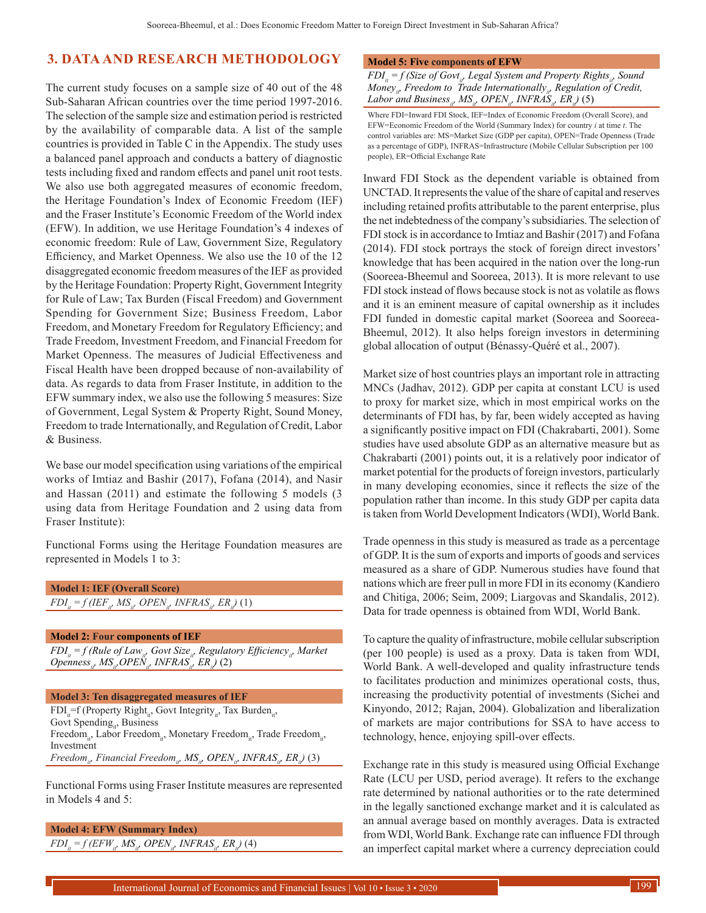# **3. DATA AND RESEARCH METHODOLOGY**

The current study focuses on a sample size of 40 out of the 48 Sub-Saharan African countries over the time period 1997-2016. The selection of the sample size and estimation period is restricted by the availability of comparable data. A list of the sample countries is provided in Table C in the Appendix. The study uses a balanced panel approach and conducts a battery of diagnostic tests including fixed and random effects and panel unit root tests. We also use both aggregated measures of economic freedom, the Heritage Foundation's Index of Economic Freedom (IEF) and the Fraser Institute's Economic Freedom of the World index (EFW). In addition, we use Heritage Foundation's 4 indexes of economic freedom: Rule of Law, Government Size, Regulatory Efficiency, and Market Openness. We also use the 10 of the 12 disaggregated economic freedom measures of the IEF as provided by the Heritage Foundation: Property Right, Government Integrity for Rule of Law; Tax Burden (Fiscal Freedom) and Government Spending for Government Size; Business Freedom, Labor Freedom, and Monetary Freedom for Regulatory Efficiency; and Trade Freedom, Investment Freedom, and Financial Freedom for Market Openness. The measures of Judicial Effectiveness and Fiscal Health have been dropped because of non-availability of data. As regards to data from Fraser Institute, in addition to the EFW summary index, we also use the following 5 measures: Size of Government, Legal System & Property Right, Sound Money, Freedom to trade Internationally, and Regulation of Credit, Labor & Business.

We base our model specification using variations of the empirical works of Imtiaz and Bashir (2017), Fofana (2014), and Nasir and Hassan (2011) and estimate the following 5 models (3 using data from Heritage Foundation and 2 using data from Fraser Institute):

Functional Forms using the Heritage Foundation measures are represented in Models 1 to 3:

#### **Model 1: IEF (Overall Score)**

 $FDI_{ii} = f (IEF_{ii}$ ,  $MS_{ii}$ ,  $OPEN_{ii}$ ,  $INFRAS_{ii}$ ,  $ER_{ii}$ ) (1)

#### **Model 2: Four components of IEF**

*FDI*<sub>*is</sub> = f (Rule of Law<sub>is</sub>, Govt Size<sub>is</sub>, Regulatory Efficiency<sub>is</sub>, Market*</sub>  $Openness_{ir} MS_{ir} OPEN_{ir} INFRAS_{ir} ER_{i}$  (2)

#### **Model 3: Ten disaggregated measures of IEF**

 $FDI_i=f$  (Property Right<sub>it</sub>, Govt Integrity<sub>it</sub>, Tax Burden<sub>it</sub>, Govt Spending<sub>it</sub>, Business Freedom<sub>it</sub>, Labor Freedom<sub>it</sub>, Monetary Freedom<sub>it</sub>, Trade Freedom<sub>it</sub>, Investment *Freedom<sub>is</sub> Financial Freedom<sub>is</sub> MS<sub>is</sub> OPEN<sub>is</sub> INFRAS<sub>is</sub> ER<sub>is</sub>) (3)* 

Functional Forms using Fraser Institute measures are represented in Models 4 and 5:

**Model 4: EFW (Summary Index)**  $FDI_{ii} = f(EFW_{i\ell} MS_{i\ell} OPEN_{i\ell} INFRAS_{i\ell} ER_{i}$ ) (4)

#### **Model 5: Five components of EFW**

 $FDI_{ii} = f(Size\ of\ Govt_{ii}, \ Legal System\ and Property Rights_{ii}, Sound$ *Money<sub>is</sub>* Freedom to Trade Internationally<sub>is</sub>, Regulation of Credit, *Labor and Business<sub>it</sub>, MS<sub>it</sub>, OPEN<sub>it</sub>, INFRAS<sub>it</sub>, ER<sub>it</sub>) (5)* 

Where FDI=Inward FDI Stock, IEF=Index of Economic Freedom (Overall Score), and EFW=Economic Freedom of the World (Summary Index) for country *i* at time *t*. The control variables are: MS=Market Size (GDP per capita), OPEN=Trade Openness (Trade as a percentage of GDP), INFRAS=Infrastructure (Mobile Cellular Subscription per 100 people), ER=Official Exchange Rate

Inward FDI Stock as the dependent variable is obtained from UNCTAD. It represents the value of the share of capital and reserves including retained profits attributable to the parent enterprise, plus the net indebtedness of the company's subsidiaries. The selection of FDI stock is in accordance to Imtiaz and Bashir (2017) and Fofana (2014). FDI stock portrays the stock of foreign direct investors' knowledge that has been acquired in the nation over the long-run (Sooreea-Bheemul and Sooreea, 2013). It is more relevant to use FDI stock instead of flows because stock is not as volatile as flows and it is an eminent measure of capital ownership as it includes FDI funded in domestic capital market (Sooreea and Sooreea-Bheemul, 2012). It also helps foreign investors in determining global allocation of output (Bénassy-Quéré et al., 2007).

Market size of host countries plays an important role in attracting MNCs (Jadhav, 2012). GDP per capita at constant LCU is used to proxy for market size, which in most empirical works on the determinants of FDI has, by far, been widely accepted as having a significantly positive impact on FDI (Chakrabarti, 2001). Some studies have used absolute GDP as an alternative measure but as Chakrabarti (2001) points out, it is a relatively poor indicator of market potential for the products of foreign investors, particularly in many developing economies, since it reflects the size of the population rather than income. In this study GDP per capita data is taken from World Development Indicators (WDI), World Bank.

Trade openness in this study is measured as trade as a percentage of GDP. It is the sum of exports and imports of goods and services measured as a share of GDP. Numerous studies have found that nations which are freer pull in more FDI in its economy (Kandiero and Chitiga, 2006; Seim, 2009; Liargovas and Skandalis, 2012). Data for trade openness is obtained from WDI, World Bank.

To capture the quality of infrastructure, mobile cellular subscription (per 100 people) is used as a proxy. Data is taken from WDI, World Bank. A well-developed and quality infrastructure tends to facilitates production and minimizes operational costs, thus, increasing the productivity potential of investments (Sichei and Kinyondo, 2012; Rajan, 2004). Globalization and liberalization of markets are major contributions for SSA to have access to technology, hence, enjoying spill-over effects.

Exchange rate in this study is measured using Official Exchange Rate (LCU per USD, period average). It refers to the exchange rate determined by national authorities or to the rate determined in the legally sanctioned exchange market and it is calculated as an annual average based on monthly averages. Data is extracted from WDI, World Bank. Exchange rate can influence FDI through an imperfect capital market where a currency depreciation could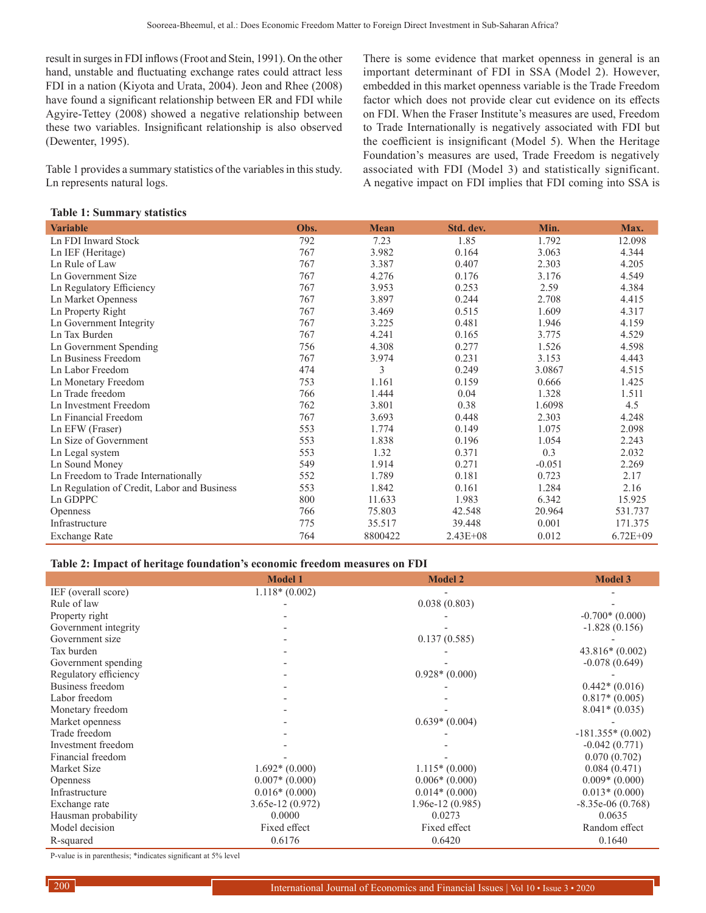result in surges in FDI inflows (Froot and Stein, 1991). On the other hand, unstable and fluctuating exchange rates could attract less FDI in a nation (Kiyota and Urata, 2004). Jeon and Rhee (2008) have found a significant relationship between ER and FDI while Agyire-Tettey (2008) showed a negative relationship between these two variables. Insignificant relationship is also observed (Dewenter, 1995).

Table 1 provides a summary statistics of the variables in this study. Ln represents natural logs.

There is some evidence that market openness in general is an important determinant of FDI in SSA (Model 2). However, embedded in this market openness variable is the Trade Freedom factor which does not provide clear cut evidence on its effects on FDI. When the Fraser Institute's measures are used, Freedom to Trade Internationally is negatively associated with FDI but the coefficient is insignificant (Model 5). When the Heritage Foundation's measures are used, Trade Freedom is negatively associated with FDI (Model 3) and statistically significant. A negative impact on FDI implies that FDI coming into SSA is

#### **Table 1: Summary statistics**

| <b>Variable</b>                             | Obs. | <b>Mean</b> | Std. dev.    | Min.     | Max.         |
|---------------------------------------------|------|-------------|--------------|----------|--------------|
| Ln FDI Inward Stock                         | 792  | 7.23        | 1.85         | 1.792    | 12.098       |
| Ln IEF (Heritage)                           | 767  | 3.982       | 0.164        | 3.063    | 4.344        |
| Ln Rule of Law                              | 767  | 3.387       | 0.407        | 2.303    | 4.205        |
| Ln Government Size                          | 767  | 4.276       | 0.176        | 3.176    | 4.549        |
| Ln Regulatory Efficiency                    | 767  | 3.953       | 0.253        | 2.59     | 4.384        |
| Ln Market Openness                          | 767  | 3.897       | 0.244        | 2.708    | 4.415        |
| Ln Property Right                           | 767  | 3.469       | 0.515        | 1.609    | 4.317        |
| Ln Government Integrity                     | 767  | 3.225       | 0.481        | 1.946    | 4.159        |
| Ln Tax Burden                               | 767  | 4.241       | 0.165        | 3.775    | 4.529        |
| Ln Government Spending                      | 756  | 4.308       | 0.277        | 1.526    | 4.598        |
| Ln Business Freedom                         | 767  | 3.974       | 0.231        | 3.153    | 4.443        |
| Ln Labor Freedom                            | 474  | 3           | 0.249        | 3.0867   | 4.515        |
| Ln Monetary Freedom                         | 753  | 1.161       | 0.159        | 0.666    | 1.425        |
| Ln Trade freedom                            | 766  | 1.444       | 0.04         | 1.328    | 1.511        |
| Ln Investment Freedom                       | 762  | 3.801       | 0.38         | 1.6098   | 4.5          |
| Ln Financial Freedom                        | 767  | 3.693       | 0.448        | 2.303    | 4.248        |
| Ln EFW (Fraser)                             | 553  | 1.774       | 0.149        | 1.075    | 2.098        |
| Ln Size of Government                       | 553  | 1.838       | 0.196        | 1.054    | 2.243        |
| Ln Legal system                             | 553  | 1.32        | 0.371        | 0.3      | 2.032        |
| Ln Sound Money                              | 549  | 1.914       | 0.271        | $-0.051$ | 2.269        |
| Ln Freedom to Trade Internationally         | 552  | 1.789       | 0.181        | 0.723    | 2.17         |
| Ln Regulation of Credit, Labor and Business | 553  | 1.842       | 0.161        | 1.284    | 2.16         |
| Ln GDPPC                                    | 800  | 11.633      | 1.983        | 6.342    | 15.925       |
| <b>Openness</b>                             | 766  | 75.803      | 42.548       | 20.964   | 531.737      |
| Infrastructure                              | 775  | 35.517      | 39.448       | 0.001    | 171.375      |
| <b>Exchange Rate</b>                        | 764  | 8800422     | $2.43E + 08$ | 0.012    | $6.72E + 09$ |

#### **Table 2: Impact of heritage foundation's economic freedom measures on FDI**

|                       | <b>Model 1</b>   | <b>Model 2</b>    | <b>Model 3</b>     |
|-----------------------|------------------|-------------------|--------------------|
| IEF (overall score)   | $1.118*(0.002)$  |                   |                    |
| Rule of law           |                  | 0.038(0.803)      |                    |
| Property right        |                  |                   | $-0.700*(0.000)$   |
| Government integrity  |                  |                   | $-1.828(0.156)$    |
| Government size       |                  | 0.137(0.585)      |                    |
| Tax burden            |                  |                   | $43.816*(0.002)$   |
| Government spending   |                  |                   | $-0.078(0.649)$    |
| Regulatory efficiency |                  | $0.928*(0.000)$   |                    |
| Business freedom      |                  |                   | $0.442*(0.016)$    |
| Labor freedom         |                  |                   | $0.817*(0.005)$    |
| Monetary freedom      |                  |                   | $8.041*(0.035)$    |
| Market openness       |                  | $0.639*(0.004)$   |                    |
| Trade freedom         |                  |                   | $-181.355*(0.002)$ |
| Investment freedom    |                  |                   | $-0.042(0.771)$    |
| Financial freedom     |                  |                   | 0.070(0.702)       |
| Market Size           | $1.692*(0.000)$  | $1.115*(0.000)$   | 0.084(0.471)       |
| <b>Openness</b>       | $0.007*(0.000)$  | $0.006*(0.000)$   | $0.009*(0.000)$    |
| Infrastructure        | $0.016*(0.000)$  | $0.014*(0.000)$   | $0.013*(0.000)$    |
| Exchange rate         | 3.65e-12 (0.972) | $1.96e-12(0.985)$ | $-8.35e-06(0.768)$ |
| Hausman probability   | 0.0000           | 0.0273            | 0.0635             |
| Model decision        | Fixed effect     | Fixed effect      | Random effect      |
| R-squared             | 0.6176           | 0.6420            | 0.1640             |

P-value is in parenthesis; \*indicates significant at 5% level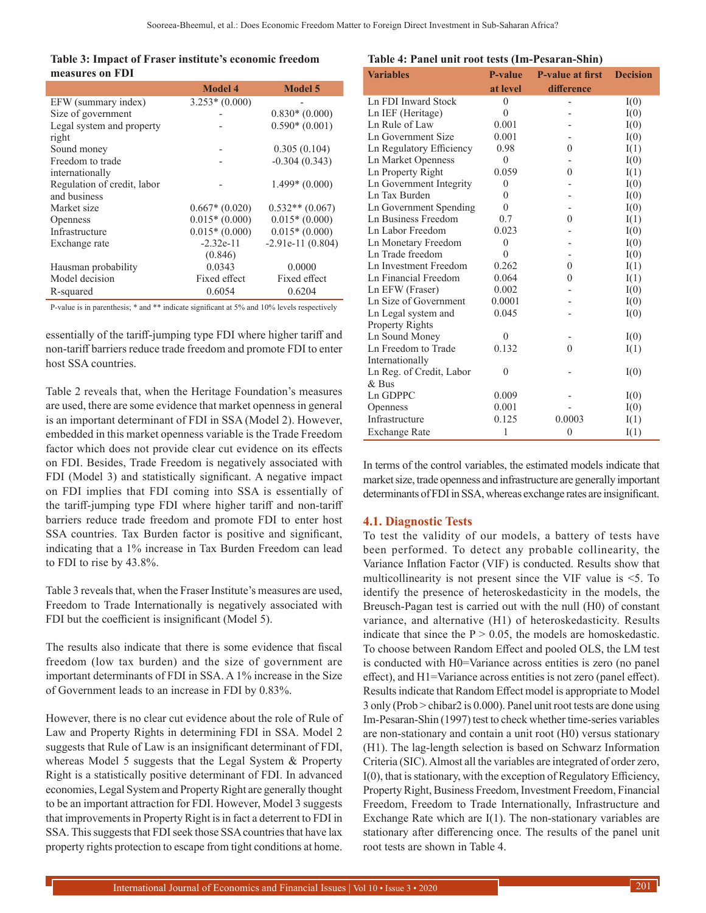## **Table 3: Impact of Fraser institute's economic freedom measures on FDI**

|                             | <b>Model 4</b>  | <b>Model 5</b>     |
|-----------------------------|-----------------|--------------------|
| EFW (summary index)         | $3.253*(0.000)$ |                    |
| Size of government          |                 | $0.830*(0.000)$    |
| Legal system and property   |                 | $0.590*(0.001)$    |
| right                       |                 |                    |
| Sound money                 |                 | 0.305(0.104)       |
| Freedom to trade            |                 | $-0.304(0.343)$    |
| internationally             |                 |                    |
| Regulation of credit, labor |                 | $1.499*(0.000)$    |
| and business                |                 |                    |
| Market size                 | $0.667*(0.020)$ | $0.532**$ (0.067)  |
| Openness                    | $0.015*(0.000)$ | $0.015*(0.000)$    |
| Infrastructure              | $0.015*(0.000)$ | $0.015*(0.000)$    |
| Exchange rate               | $-2.32e-11$     | $-2.91e-11(0.804)$ |
|                             | (0.846)         |                    |
| Hausman probability         | 0.0343          | 0.0000             |
| Model decision              | Fixed effect    | Fixed effect       |
| R-squared                   | 0.6054          | 0.6204             |

P-value is in parenthesis; \* and \*\* indicate significant at 5% and 10% levels respectively

essentially of the tariff-jumping type FDI where higher tariff and non-tariff barriers reduce trade freedom and promote FDI to enter host SSA countries.

Table 2 reveals that, when the Heritage Foundation's measures are used, there are some evidence that market openness in general is an important determinant of FDI in SSA (Model 2). However, embedded in this market openness variable is the Trade Freedom factor which does not provide clear cut evidence on its effects on FDI. Besides, Trade Freedom is negatively associated with FDI (Model 3) and statistically significant. A negative impact on FDI implies that FDI coming into SSA is essentially of the tariff-jumping type FDI where higher tariff and non-tariff barriers reduce trade freedom and promote FDI to enter host SSA countries. Tax Burden factor is positive and significant, indicating that a 1% increase in Tax Burden Freedom can lead to FDI to rise by 43.8%.

Table 3 reveals that, when the Fraser Institute's measures are used, Freedom to Trade Internationally is negatively associated with FDI but the coefficient is insignificant (Model 5).

The results also indicate that there is some evidence that fiscal freedom (low tax burden) and the size of government are important determinants of FDI in SSA. A 1% increase in the Size of Government leads to an increase in FDI by 0.83%.

However, there is no clear cut evidence about the role of Rule of Law and Property Rights in determining FDI in SSA. Model 2 suggests that Rule of Law is an insignificant determinant of FDI, whereas Model 5 suggests that the Legal System & Property Right is a statistically positive determinant of FDI. In advanced economies, Legal System and Property Right are generally thought to be an important attraction for FDI. However, Model 3 suggests that improvements in Property Right is in fact a deterrent to FDI in SSA. This suggests that FDI seek those SSA countries that have lax property rights protection to escape from tight conditions at home.

### **Table 4: Panel unit root tests (Im-Pesaran-Shin)**

| <b>Variables</b>         | <b>P-value</b> | <b>P-value at first</b> | <b>Decision</b> |
|--------------------------|----------------|-------------------------|-----------------|
|                          | at level       | difference              |                 |
| Ln FDI Inward Stock      | $\theta$       |                         | I(0)            |
| Ln IEF (Heritage)        | $\theta$       |                         | I(0)            |
| Ln Rule of Law           | 0.001          |                         | I(0)            |
| Ln Government Size       | 0.001          |                         | I(0)            |
| Ln Regulatory Efficiency | 0.98           | $\mathbf{0}$            | I(1)            |
| Ln Market Openness       | $\mathbf{0}$   |                         | I(0)            |
| Ln Property Right        | 0.059          | $\mathbf{0}$            | I(1)            |
| Ln Government Integrity  | $\mathbf{0}$   |                         | I(0)            |
| Ln Tax Burden            | $\theta$       |                         | I(0)            |
| Ln Government Spending   | $\theta$       |                         | I(0)            |
| Ln Business Freedom      | 0.7            | $\theta$                | I(1)            |
| Ln Labor Freedom         | 0.023          |                         | I(0)            |
| Ln Monetary Freedom      | $\theta$       |                         | I(0)            |
| Ln Trade freedom         | $\theta$       |                         | I(0)            |
| Ln Investment Freedom    | 0.262          | $\theta$                | I(1)            |
| Ln Financial Freedom     | 0.064          | $\mathbf{0}$            | I(1)            |
| Ln EFW (Fraser)          | 0.002          |                         | I(0)            |
| Ln Size of Government    | 0.0001         |                         | I(0)            |
| Ln Legal system and      | 0.045          |                         | I(0)            |
| Property Rights          |                |                         |                 |
| Ln Sound Money           | $\theta$       |                         | I(0)            |
| Ln Freedom to Trade      | 0.132          | $\theta$                | I(1)            |
| Internationally          |                |                         |                 |
| Ln Reg. of Credit, Labor | $\theta$       |                         | I(0)            |
| $&$ Bus                  |                |                         |                 |
| Ln GDPPC                 | 0.009          |                         | I(0)            |
| Openness                 | 0.001          |                         | I(0)            |
| Infrastructure           | 0.125          | 0.0003                  | I(1)            |
| <b>Exchange Rate</b>     | $\mathbf{1}$   | $\overline{0}$          | I(1)            |

In terms of the control variables, the estimated models indicate that market size, trade openness and infrastructure are generally important determinants of FDI in SSA, whereas exchange rates are insignificant.

## **4.1. Diagnostic Tests**

To test the validity of our models, a battery of tests have been performed. To detect any probable collinearity, the Variance Inflation Factor (VIF) is conducted. Results show that multicollinearity is not present since the VIF value is <5. To identify the presence of heteroskedasticity in the models, the Breusch-Pagan test is carried out with the null (H0) of constant variance, and alternative (H1) of heteroskedasticity. Results indicate that since the  $P > 0.05$ , the models are homoskedastic. To choose between Random Effect and pooled OLS, the LM test is conducted with H0=Variance across entities is zero (no panel effect), and H1=Variance across entities is not zero (panel effect). Results indicate that Random Effect model is appropriate to Model 3 only (Prob > chibar2 is 0.000). Panel unit root tests are done using Im-Pesaran-Shin (1997) test to check whether time-series variables are non-stationary and contain a unit root (H0) versus stationary (H1). The lag-length selection is based on Schwarz Information Criteria (SIC). Almost all the variables are integrated of order zero, I(0), that is stationary, with the exception of Regulatory Efficiency, Property Right, Business Freedom, Investment Freedom, Financial Freedom, Freedom to Trade Internationally, Infrastructure and Exchange Rate which are I(1). The non-stationary variables are stationary after differencing once. The results of the panel unit root tests are shown in Table 4.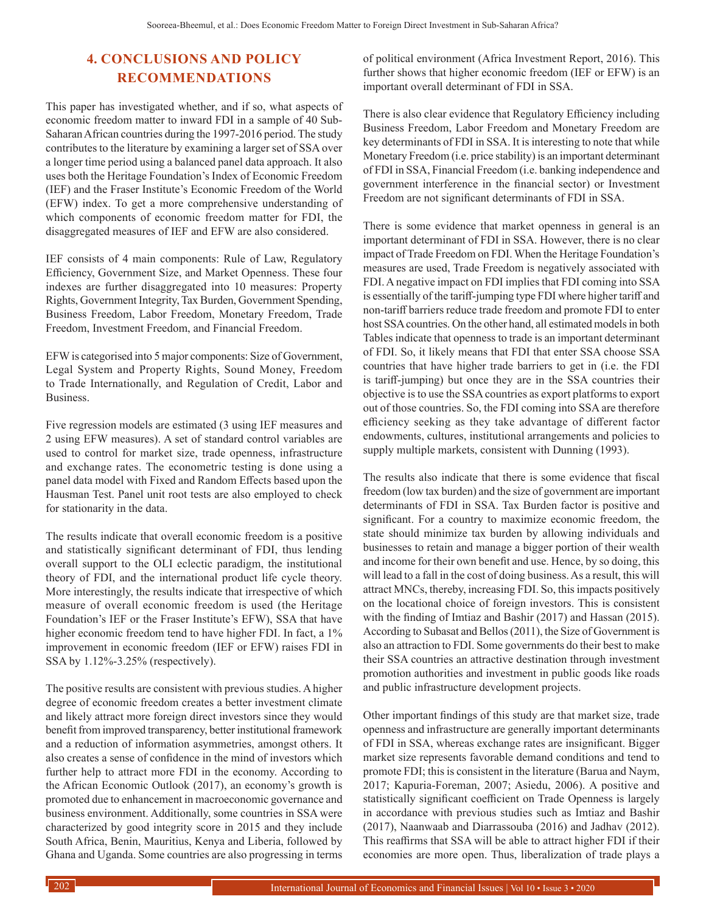# **4. CONCLUSIONS AND POLICY RECOMMENDATIONS**

This paper has investigated whether, and if so, what aspects of economic freedom matter to inward FDI in a sample of 40 Sub-Saharan African countries during the 1997-2016 period. The study contributes to the literature by examining a larger set of SSA over a longer time period using a balanced panel data approach. It also uses both the Heritage Foundation's Index of Economic Freedom (IEF) and the Fraser Institute's Economic Freedom of the World (EFW) index. To get a more comprehensive understanding of which components of economic freedom matter for FDI, the disaggregated measures of IEF and EFW are also considered.

IEF consists of 4 main components: Rule of Law, Regulatory Efficiency, Government Size, and Market Openness. These four indexes are further disaggregated into 10 measures: Property Rights, Government Integrity, Tax Burden, Government Spending, Business Freedom, Labor Freedom, Monetary Freedom, Trade Freedom, Investment Freedom, and Financial Freedom.

EFW is categorised into 5 major components: Size of Government, Legal System and Property Rights, Sound Money, Freedom to Trade Internationally, and Regulation of Credit, Labor and Business.

Five regression models are estimated (3 using IEF measures and 2 using EFW measures). A set of standard control variables are used to control for market size, trade openness, infrastructure and exchange rates. The econometric testing is done using a panel data model with Fixed and Random Effects based upon the Hausman Test. Panel unit root tests are also employed to check for stationarity in the data.

The results indicate that overall economic freedom is a positive and statistically significant determinant of FDI, thus lending overall support to the OLI eclectic paradigm, the institutional theory of FDI, and the international product life cycle theory. More interestingly, the results indicate that irrespective of which measure of overall economic freedom is used (the Heritage Foundation's IEF or the Fraser Institute's EFW), SSA that have higher economic freedom tend to have higher FDI. In fact, a 1% improvement in economic freedom (IEF or EFW) raises FDI in SSA by 1.12%-3.25% (respectively).

The positive results are consistent with previous studies. Ahigher degree of economic freedom creates a better investment climate and likely attract more foreign direct investors since they would benefit from improved transparency, better institutional framework and a reduction of information asymmetries, amongst others. It also creates a sense of confidence in the mind of investors which further help to attract more FDI in the economy. According to the African Economic Outlook (2017), an economy's growth is promoted due to enhancement in macroeconomic governance and business environment. Additionally, some countries in SSA were characterized by good integrity score in 2015 and they include South Africa, Benin, Mauritius, Kenya and Liberia, followed by Ghana and Uganda. Some countries are also progressing in terms

of political environment (Africa Investment Report, 2016). This further shows that higher economic freedom (IEF or EFW) is an important overall determinant of FDI in SSA.

There is also clear evidence that Regulatory Efficiency including Business Freedom, Labor Freedom and Monetary Freedom are key determinants of FDI in SSA. It is interesting to note that while Monetary Freedom (i.e. price stability) is an important determinant of FDI in SSA, Financial Freedom (i.e. banking independence and government interference in the financial sector) or Investment Freedom are not significant determinants of FDI in SSA.

There is some evidence that market openness in general is an important determinant of FDI in SSA. However, there is no clear impact of Trade Freedom on FDI. When the Heritage Foundation's measures are used, Trade Freedom is negatively associated with FDI. Anegative impact on FDI implies that FDI coming into SSA is essentially of the tariff-jumping type FDI where higher tariff and non-tariff barriers reduce trade freedom and promote FDI to enter host SSA countries. On the other hand, all estimated models in both Tables indicate that openness to trade is an important determinant of FDI. So, it likely means that FDI that enter SSA choose SSA countries that have higher trade barriers to get in (i.e. the FDI is tariff-jumping) but once they are in the SSA countries their objective is to use the SSA countries as export platforms to export out of those countries. So, the FDI coming into SSA are therefore efficiency seeking as they take advantage of different factor endowments, cultures, institutional arrangements and policies to supply multiple markets, consistent with Dunning (1993).

The results also indicate that there is some evidence that fiscal freedom (low tax burden) and the size of government are important determinants of FDI in SSA. Tax Burden factor is positive and significant. For a country to maximize economic freedom, the state should minimize tax burden by allowing individuals and businesses to retain and manage a bigger portion of their wealth and income for their own benefit and use. Hence, by so doing, this will lead to a fall in the cost of doing business. As a result, this will attract MNCs, thereby, increasing FDI. So, this impacts positively on the locational choice of foreign investors. This is consistent with the finding of Imtiaz and Bashir (2017) and Hassan (2015). According to Subasat and Bellos (2011), the Size of Government is also an attraction to FDI. Some governments do their best to make their SSA countries an attractive destination through investment promotion authorities and investment in public goods like roads and public infrastructure development projects.

Other important findings of this study are that market size, trade openness and infrastructure are generally important determinants of FDI in SSA, whereas exchange rates are insignificant. Bigger market size represents favorable demand conditions and tend to promote FDI; this is consistent in the literature (Barua and Naym, 2017; Kapuria-Foreman, 2007; Asiedu, 2006). A positive and statistically significant coefficient on Trade Openness is largely in accordance with previous studies such as Imtiaz and Bashir (2017), Naanwaab and Diarrassouba (2016) and Jadhav (2012). This reaffirms that SSA will be able to attract higher FDI if their economies are more open. Thus, liberalization of trade plays a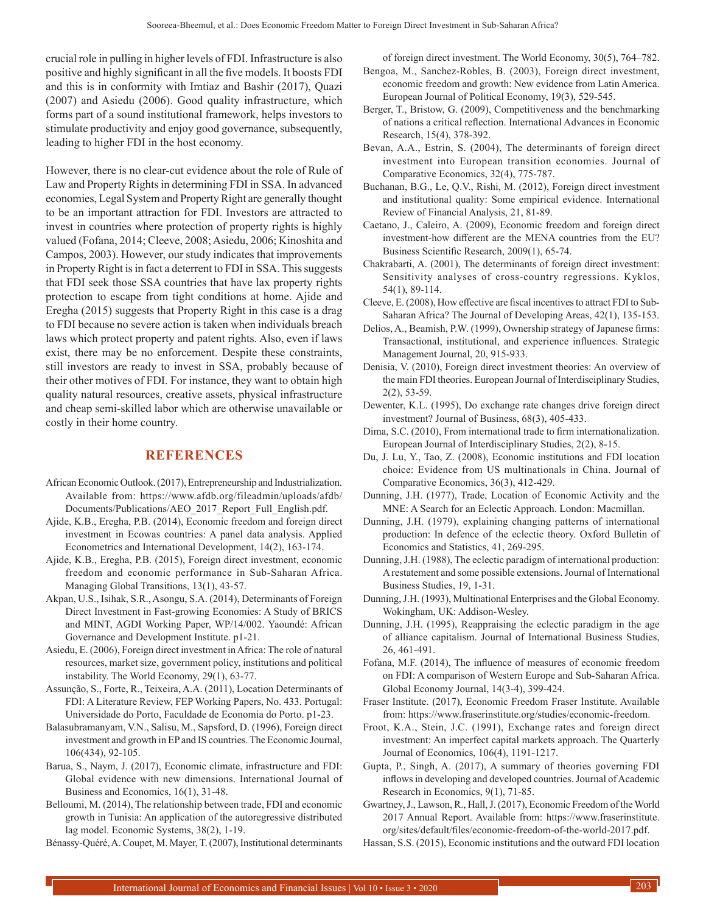crucial role in pulling in higher levels of FDI. Infrastructure is also positive and highly significant in all the five models. It boosts FDI and this is in conformity with Imtiaz and Bashir (2017), Quazi (2007) and Asiedu (2006). Good quality infrastructure, which forms part of a sound institutional framework, helps investors to stimulate productivity and enjoy good governance, subsequently, leading to higher FDI in the host economy.

However, there is no clear-cut evidence about the role of Rule of Law and Property Rights in determining FDI in SSA. In advanced economies, Legal System and Property Right are generally thought to be an important attraction for FDI. Investors are attracted to invest in countries where protection of property rights is highly valued (Fofana, 2014; Cleeve, 2008; Asiedu, 2006; Kinoshita and Campos, 2003). However, our study indicates that improvements in Property Right is in fact a deterrent to FDI in SSA. This suggests that FDI seek those SSA countries that have lax property rights protection to escape from tight conditions at home. Ajide and Eregha (2015) suggests that Property Right in this case is a drag to FDI because no severe action is taken when individuals breach laws which protect property and patent rights. Also, even if laws exist, there may be no enforcement. Despite these constraints, still investors are ready to invest in SSA, probably because of their other motives of FDI. For instance, they want to obtain high quality natural resources, creative assets, physical infrastructure and cheap semi-skilled labor which are otherwise unavailable or costly in their home country.

# **REFERENCES**

- African Economic Outlook. (2017), Entrepreneurship and Industrialization. Available from: https://www.afdb.org/fileadmin/uploads/afdb/ Documents/Publications/AEO\_2017\_Report\_Full\_English.pdf.
- Ajide, K.B., Eregha, P.B. (2014), Economic freedom and foreign direct investment in Ecowas countries: A panel data analysis. Applied Econometrics and International Development, 14(2), 163-174.
- Ajide, K.B., Eregha, P.B. (2015), Foreign direct investment, economic freedom and economic performance in Sub-Saharan Africa. Managing Global Transitions, 13(1), 43-57.
- Akpan, U.S., Isihak, S.R., Asongu, S.A. (2014), Determinants of Foreign Direct Investment in Fast-growing Economies: A Study of BRICS and MINT, AGDI Working Paper, WP/14/002. Yaoundé: African Governance and Development Institute. p1-21.
- Asiedu, E. (2006), Foreign direct investment in Africa: The role of natural resources, market size, government policy, institutions and political instability. The World Economy, 29(1), 63-77.
- Assunção, S., Forte, R., Teixeira, A.A. (2011), Location Determinants of FDI: A Literature Review, FEP Working Papers, No. 433. Portugal: Universidade do Porto, Faculdade de Economia do Porto. p1-23.
- Balasubramanyam, V.N., Salisu, M., Sapsford, D. (1996), Foreign direct investment and growth in EP and IS countries. The Economic Journal, 106(434), 92-105.
- Barua, S., Naym, J. (2017), Economic climate, infrastructure and FDI: Global evidence with new dimensions. International Journal of Business and Economics, 16(1), 31-48.
- Belloumi, M. (2014), The relationship between trade, FDI and economic growth in Tunisia: An application of the autoregressive distributed lag model. Economic Systems, 38(2), 1-19.

Bénassy-Quéré, A. Coupet, M. Mayer, T. (2007), Institutional determinants

of foreign direct investment. The World Economy, 30(5), 764–782.

- Bengoa, M., Sanchez-Robles, B. (2003), Foreign direct investment, economic freedom and growth: New evidence from Latin America. European Journal of Political Economy, 19(3), 529-545.
- Berger, T., Bristow, G. (2009), Competitiveness and the benchmarking of nations a critical reflection. International Advances in Economic Research, 15(4), 378-392.
- Bevan, A.A., Estrin, S. (2004), The determinants of foreign direct investment into European transition economies. Journal of Comparative Economics, 32(4), 775-787.
- Buchanan, B.G., Le, Q.V., Rishi, M. (2012), Foreign direct investment and institutional quality: Some empirical evidence. International Review of Financial Analysis, 21, 81-89.
- Caetano, J., Caleiro, A. (2009), Economic freedom and foreign direct investment-how different are the MENA countries from the EU? Business Scientific Research, 2009(1), 65-74.
- Chakrabarti, A. (2001), The determinants of foreign direct investment: Sensitivity analyses of cross-country regressions. Kyklos, 54(1), 89-114.
- Cleeve, E. (2008), How effective are fiscal incentives to attract FDI to Sub-Saharan Africa? The Journal of Developing Areas, 42(1), 135-153.
- Delios, A., Beamish, P.W. (1999), Ownership strategy of Japanese firms: Transactional, institutional, and experience influences. Strategic Management Journal, 20, 915-933.
- Denisia, V. (2010), Foreign direct investment theories: An overview of the main FDI theories. European Journal of Interdisciplinary Studies, 2(2), 53-59.
- Dewenter, K.L. (1995), Do exchange rate changes drive foreign direct investment? Journal of Business, 68(3), 405-433.
- Dima, S.C. (2010), From international trade to firm internationalization. European Journal of Interdisciplinary Studies, 2(2), 8-15.
- Du, J. Lu, Y., Tao, Z. (2008), Economic institutions and FDI location choice: Evidence from US multinationals in China. Journal of Comparative Economics, 36(3), 412-429.
- Dunning, J.H. (1977), Trade, Location of Economic Activity and the MNE: A Search for an Eclectic Approach. London: Macmillan.
- Dunning, J.H. (1979), explaining changing patterns of international production: In defence of the eclectic theory. Oxford Bulletin of Economics and Statistics, 41, 269-295.
- Dunning, J.H. (1988), The eclectic paradigm of international production: Arestatement and some possible extensions. Journal of International Business Studies, 19, 1-31.
- Dunning, J.H. (1993), Multinational Enterprises and the Global Economy. Wokingham, UK: Addison-Wesley.
- Dunning, J.H. (1995), Reappraising the eclectic paradigm in the age of alliance capitalism. Journal of International Business Studies, 26, 461-491.
- Fofana, M.F. (2014), The influence of measures of economic freedom on FDI: A comparison of Western Europe and Sub-Saharan Africa. Global Economy Journal, 14(3-4), 399-424.
- Fraser Institute. (2017), Economic Freedom Fraser Institute. Available from: https://www.fraserinstitute.org/studies/economic-freedom.
- Froot, K.A., Stein, J.C. (1991), Exchange rates and foreign direct investment: An imperfect capital markets approach. The Quarterly Journal of Economics, 106(4), 1191-1217.
- Gupta, P., Singh, A. (2017), A summary of theories governing FDI inflows in developing and developed countries. Journal of Academic Research in Economics, 9(1), 71-85.
- Gwartney, J., Lawson, R., Hall, J. (2017), Economic Freedom of the World 2017 Annual Report. Available from: https://www.fraserinstitute. org/sites/default/files/economic-freedom-of-the-world-2017.pdf.

Hassan, S.S. (2015), Economic institutions and the outward FDI location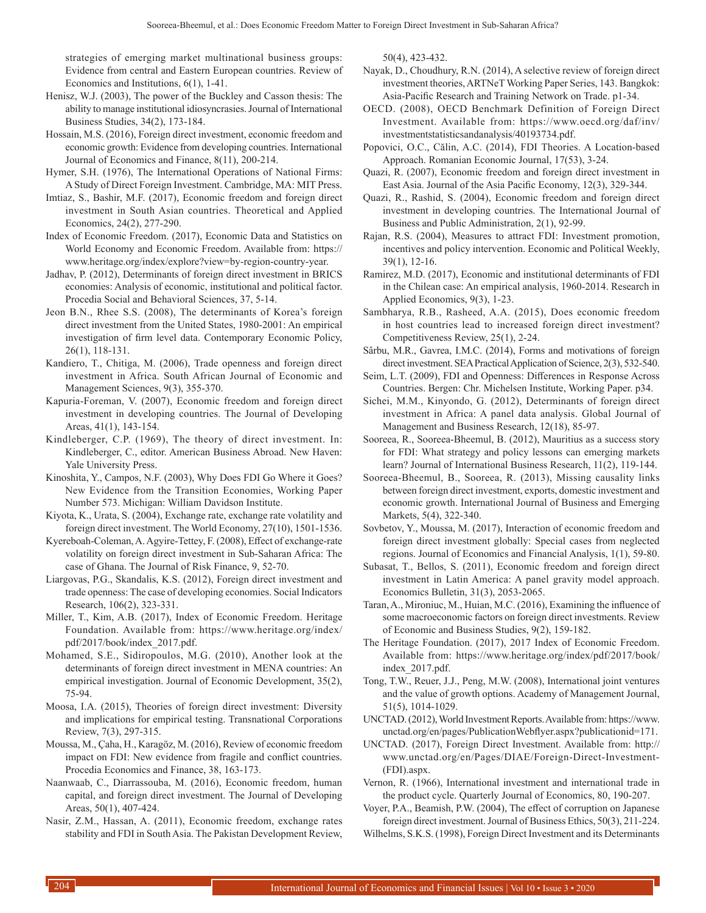strategies of emerging market multinational business groups: Evidence from central and Eastern European countries. Review of Economics and Institutions, 6(1), 1-41.

- Henisz, W.J. (2003), The power of the Buckley and Casson thesis: The ability to manage institutional idiosyncrasies. Journal of International Business Studies, 34(2), 173-184.
- Hossain, M.S. (2016), Foreign direct investment, economic freedom and economic growth: Evidence from developing countries. International Journal of Economics and Finance, 8(11), 200-214.
- Hymer, S.H. (1976), The International Operations of National Firms: A Study of Direct Foreign Investment. Cambridge, MA: MIT Press.
- Imtiaz, S., Bashir, M.F. (2017), Economic freedom and foreign direct investment in South Asian countries. Theoretical and Applied Economics, 24(2), 277-290.
- Index of Economic Freedom. (2017), Economic Data and Statistics on World Economy and Economic Freedom. Available from: https:// www.heritage.org/index/explore?view=by-region-country-year.
- Jadhav, P. (2012), Determinants of foreign direct investment in BRICS economies: Analysis of economic, institutional and political factor. Procedia Social and Behavioral Sciences, 37, 5-14.
- Jeon B.N., Rhee S.S. (2008), The determinants of Korea's foreign direct investment from the United States, 1980-2001: An empirical investigation of firm level data. Contemporary Economic Policy, 26(1), 118-131.
- Kandiero, T., Chitiga, M. (2006), Trade openness and foreign direct investment in Africa. South African Journal of Economic and Management Sciences, 9(3), 355-370.
- Kapuria-Foreman, V. (2007), Economic freedom and foreign direct investment in developing countries. The Journal of Developing Areas, 41(1), 143-154.
- Kindleberger, C.P. (1969), The theory of direct investment. In: Kindleberger, C., editor. American Business Abroad. New Haven: Yale University Press.
- Kinoshita, Y., Campos, N.F. (2003), Why Does FDI Go Where it Goes? New Evidence from the Transition Economies, Working Paper Number 573. Michigan: William Davidson Institute.
- Kiyota, K., Urata, S. (2004), Exchange rate, exchange rate volatility and foreign direct investment. The World Economy, 27(10), 1501-1536.
- Kyereboah-Coleman, A. Agyire-Tettey, F. (2008), Effect of exchange-rate volatility on foreign direct investment in Sub-Saharan Africa: The case of Ghana. The Journal of Risk Finance, 9, 52-70.
- Liargovas, P.G., Skandalis, K.S. (2012), Foreign direct investment and trade openness: The case of developing economies. Social Indicators Research, 106(2), 323-331.
- Miller, T., Kim, A.B. (2017), Index of Economic Freedom. Heritage Foundation. Available from: https://www.heritage.org/index/ pdf/2017/book/index\_2017.pdf.
- Mohamed, S.E., Sidiropoulos, M.G. (2010), Another look at the determinants of foreign direct investment in MENA countries: An empirical investigation. Journal of Economic Development, 35(2), 75-94.
- Moosa, I.A. (2015), Theories of foreign direct investment: Diversity and implications for empirical testing. Transnational Corporations Review, 7(3), 297-315.
- Moussa, M., Çaha, H., Karagöz, M. (2016), Review of economic freedom impact on FDI: New evidence from fragile and conflict countries. Procedia Economics and Finance, 38, 163-173.
- Naanwaab, C., Diarrassouba, M. (2016), Economic freedom, human capital, and foreign direct investment. The Journal of Developing Areas, 50(1), 407-424.
- Nasir, Z.M., Hassan, A. (2011), Economic freedom, exchange rates stability and FDI in South Asia. The Pakistan Development Review,

50(4), 423-432.

- Nayak, D., Choudhury, R.N. (2014), A selective review of foreign direct investment theories, ARTNeT Working Paper Series, 143. Bangkok: Asia-Pacific Research and Training Network on Trade. p1-34.
- OECD. (2008), OECD Benchmark Definition of Foreign Direct Investment. Available from: https://www.oecd.org/daf/inv/ investmentstatisticsandanalysis/40193734.pdf.
- Popovici, O.C., Călin, A.C. (2014), FDI Theories. A Location-based Approach. Romanian Economic Journal, 17(53), 3-24.
- Quazi, R. (2007), Economic freedom and foreign direct investment in East Asia. Journal of the Asia Pacific Economy, 12(3), 329-344.
- Quazi, R., Rashid, S. (2004), Economic freedom and foreign direct investment in developing countries. The International Journal of Business and Public Administration, 2(1), 92-99.
- Rajan, R.S. (2004), Measures to attract FDI: Investment promotion, incentives and policy intervention. Economic and Political Weekly, 39(1), 12-16.
- Ramirez, M.D. (2017), Economic and institutional determinants of FDI in the Chilean case: An empirical analysis, 1960-2014. Research in Applied Economics, 9(3), 1-23.
- Sambharya, R.B., Rasheed, A.A. (2015), Does economic freedom in host countries lead to increased foreign direct investment? Competitiveness Review, 25(1), 2-24.
- Sârbu, M.R., Gavrea, I.M.C. (2014), Forms and motivations of foreign direct investment. SEA Practical Application of Science, 2(3), 532-540.
- Seim, L.T. (2009), FDI and Openness: Differences in Response Across Countries. Bergen: Chr. Michelsen Institute, Working Paper. p34.
- Sichei, M.M., Kinyondo, G. (2012), Determinants of foreign direct investment in Africa: A panel data analysis. Global Journal of Management and Business Research, 12(18), 85-97.
- Sooreea, R., Sooreea-Bheemul, B. (2012), Mauritius as a success story for FDI: What strategy and policy lessons can emerging markets learn? Journal of International Business Research, 11(2), 119-144.
- Sooreea-Bheemul, B., Sooreea, R. (2013), Missing causality links between foreign direct investment, exports, domestic investment and economic growth. International Journal of Business and Emerging Markets, 5(4), 322-340.
- Sovbetov, Y., Moussa, M. (2017), Interaction of economic freedom and foreign direct investment globally: Special cases from neglected regions. Journal of Economics and Financial Analysis, 1(1), 59-80.
- Subasat, T., Bellos, S. (2011), Economic freedom and foreign direct investment in Latin America: A panel gravity model approach. Economics Bulletin, 31(3), 2053-2065.
- Taran, A., Mironiuc, M., Huian, M.C. (2016), Examining the influence of some macroeconomic factors on foreign direct investments. Review of Economic and Business Studies, 9(2), 159-182.
- The Heritage Foundation. (2017), 2017 Index of Economic Freedom. Available from: https://www.heritage.org/index/pdf/2017/book/ index\_2017.pdf.
- Tong, T.W., Reuer, J.J., Peng, M.W. (2008), International joint ventures and the value of growth options. Academy of Management Journal, 51(5), 1014-1029.
- UNCTAD. (2012), World Investment Reports. Available from: https://www. unctad.org/en/pages/PublicationWebflyer.aspx?publicationid=171.
- UNCTAD. (2017), Foreign Direct Investment. Available from: http:// www.unctad.org/en/Pages/DIAE/Foreign-Direct-Investment- (FDI).aspx.
- Vernon, R. (1966), International investment and international trade in the product cycle. Quarterly Journal of Economics, 80, 190-207.

Voyer, P.A., Beamish, P.W. (2004), The effect of corruption on Japanese foreign direct investment. Journal of Business Ethics, 50(3), 211-224.

Wilhelms, S.K.S. (1998), Foreign Direct Investment and its Determinants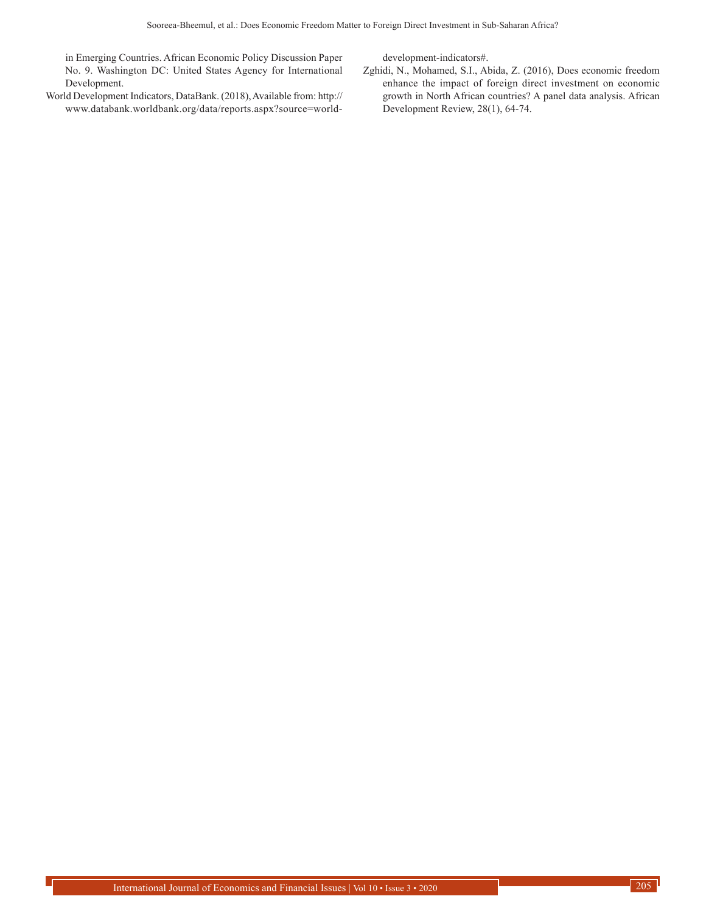in Emerging Countries. African Economic Policy Discussion Paper No. 9. Washington DC: United States Agency for International Development.

World Development Indicators, DataBank. (2018), Available from: http:// www.databank.worldbank.org/data/reports.aspx?source=worlddevelopment-indicators#.

Zghidi, N., Mohamed, S.I., Abida, Z. (2016), Does economic freedom enhance the impact of foreign direct investment on economic growth in North African countries? A panel data analysis. African Development Review, 28(1), 64-74.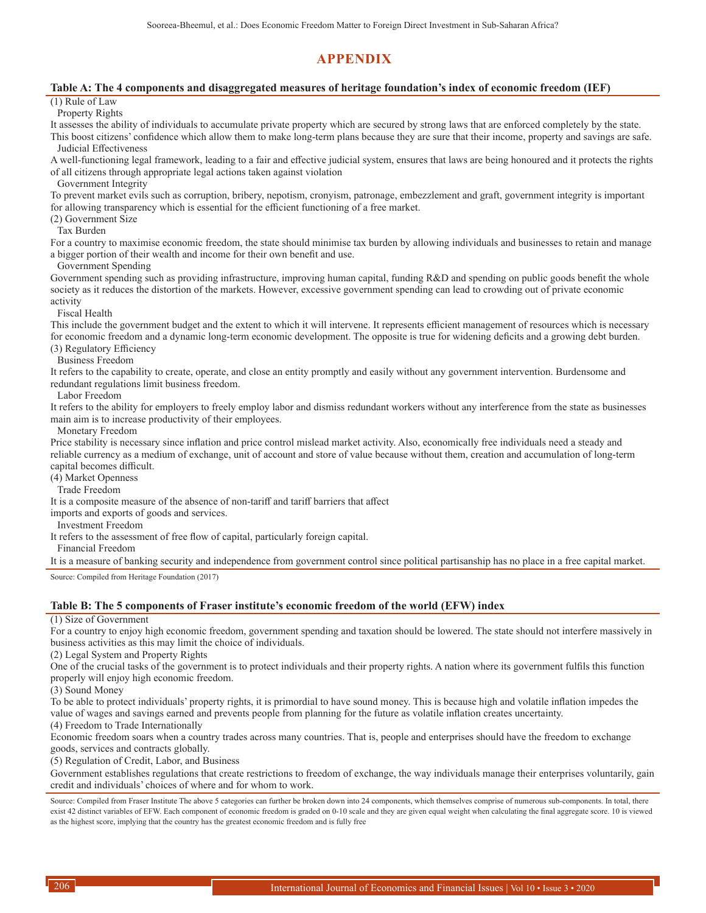# **APPENDIX**

## **Table A: The 4 components and disaggregated measures of heritage foundation's index of economic freedom (IEF)**

(1) Rule of Law

Property Rights

It assesses the ability of individuals to accumulate private property which are secured by strong laws that are enforced completely by the state.

This boost citizens' confidence which allow them to make long-term plans because they are sure that their income, property and savings are safe. Judicial Effectiveness

A well-functioning legal framework, leading to a fair and effective judicial system, ensures that laws are being honoured and it protects the rights of all citizens through appropriate legal actions taken against violation

Government Integrity

To prevent market evils such as corruption, bribery, nepotism, cronyism, patronage, embezzlement and graft, government integrity is important for allowing transparency which is essential for the efficient functioning of a free market.

(2) Government Size

Tax Burden

For a country to maximise economic freedom, the state should minimise tax burden by allowing individuals and businesses to retain and manage a bigger portion of their wealth and income for their own benefit and use.

Government Spending

Government spending such as providing infrastructure, improving human capital, funding R&D and spending on public goods benefit the whole society as it reduces the distortion of the markets. However, excessive government spending can lead to crowding out of private economic activity

Fiscal Health

This include the government budget and the extent to which it will intervene. It represents efficient management of resources which is necessary for economic freedom and a dynamic long-term economic development. The opposite is true for widening deficits and a growing debt burden. (3) Regulatory Efficiency

Business Freedom

It refers to the capability to create, operate, and close an entity promptly and easily without any government intervention. Burdensome and redundant regulations limit business freedom.

Labor Freedom

It refers to the ability for employers to freely employ labor and dismiss redundant workers without any interference from the state as businesses main aim is to increase productivity of their employees.

Monetary Freedom

Price stability is necessary since inflation and price control mislead market activity. Also, economically free individuals need a steady and reliable currency as a medium of exchange, unit of account and store of value because without them, creation and accumulation of long-term capital becomes difficult.

(4) Market Openness

Trade Freedom

It is a composite measure of the absence of non-tariff and tariff barriers that affect

imports and exports of goods and services.

Investment Freedom

It refers to the assessment of free flow of capital, particularly foreign capital.

Financial Freedom

It is a measure of banking security and independence from government control since political partisanship has no place in a free capital market.

Source: Compiled from Heritage Foundation (2017)

### **Table B: The 5 components of Fraser institute's economic freedom of the world (EFW) index**

(1) Size of Government

For a country to enjoy high economic freedom, government spending and taxation should be lowered. The state should not interfere massively in business activities as this may limit the choice of individuals.

(2) Legal System and Property Rights

One of the crucial tasks of the government is to protect individuals and their property rights. A nation where its government fulfils this function properly will enjoy high economic freedom.

(3) Sound Money

To be able to protect individuals' property rights, it is primordial to have sound money. This is because high and volatile inflation impedes the value of wages and savings earned and prevents people from planning for the future as volatile inflation creates uncertainty.

(4) Freedom to Trade Internationally

Economic freedom soars when a country trades across many countries. That is, people and enterprises should have the freedom to exchange goods, services and contracts globally.

(5) Regulation of Credit, Labor, and Business

Government establishes regulations that create restrictions to freedom of exchange, the way individuals manage their enterprises voluntarily, gain credit and individuals' choices of where and for whom to work.

Source: Compiled from Fraser Institute The above 5 categories can further be broken down into 24 components, which themselves comprise of numerous sub-components. In total, there exist 42 distinct variables of EFW. Each component of economic freedom is graded on 0-10 scale and they are given equal weight when calculating the final aggregate score. 10 is viewed as the highest score, implying that the country has the greatest economic freedom and is fully free